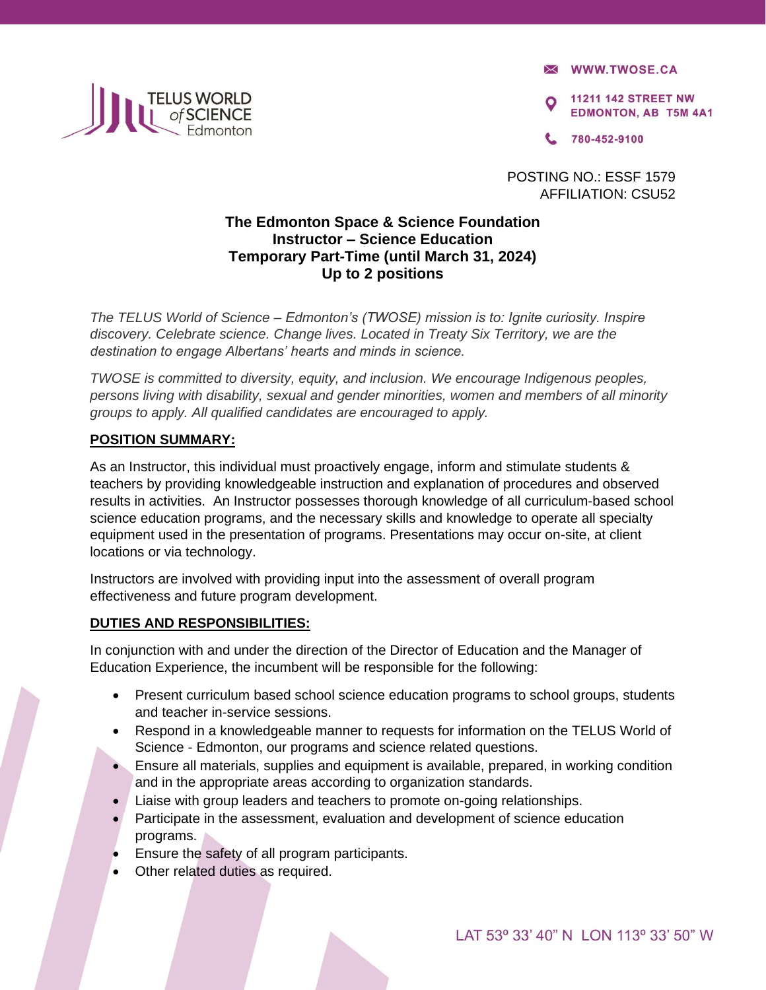

**X WWW.TWOSE.CA** 

**11211 142 STREET NW EDMONTON, AB T5M 4A1** 

780-452-9100

POSTING NO.: ESSF 1579 AFFILIATION: CSU52

# **The Edmonton Space & Science Foundation Instructor – Science Education Temporary Part-Time (until March 31, 2024) Up to 2 positions**

*The TELUS World of Science – Edmonton's (TWOSE) mission is to: Ignite curiosity. Inspire discovery. Celebrate science. Change lives. Located in Treaty Six Territory, we are the destination to engage Albertans' hearts and minds in science.* 

*TWOSE is committed to diversity, equity, and inclusion. We encourage Indigenous peoples, persons living with disability, sexual and gender minorities, women and members of all minority groups to apply. All qualified candidates are encouraged to apply.* 

# **POSITION SUMMARY:**

As an Instructor, this individual must proactively engage, inform and stimulate students & teachers by providing knowledgeable instruction and explanation of procedures and observed results in activities. An Instructor possesses thorough knowledge of all curriculum-based school science education programs, and the necessary skills and knowledge to operate all specialty equipment used in the presentation of programs. Presentations may occur on-site, at client locations or via technology.

Instructors are involved with providing input into the assessment of overall program effectiveness and future program development.

#### **DUTIES AND RESPONSIBILITIES:**

In conjunction with and under the direction of the Director of Education and the Manager of Education Experience, the incumbent will be responsible for the following:

- Present curriculum based school science education programs to school groups, students and teacher in-service sessions.
- Respond in a knowledgeable manner to requests for information on the TELUS World of Science - Edmonton, our programs and science related questions.
- Ensure all materials, supplies and equipment is available, prepared, in working condition and in the appropriate areas according to organization standards.
- Liaise with group leaders and teachers to promote on-going relationships.
- Participate in the assessment, evaluation and development of science education programs.
- Ensure the safety of all program participants.
- Other related duties as required.